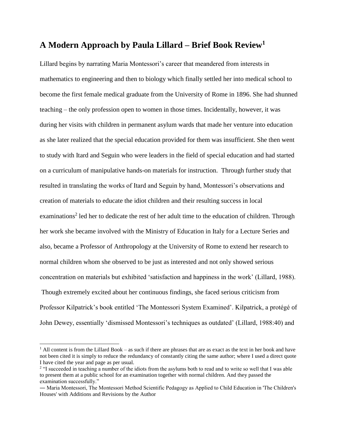## **A Modern Approach by Paula Lillard – Brief Book Review<sup>1</sup>**

Lillard begins by narrating Maria Montessori's career that meandered from interests in mathematics to engineering and then to biology which finally settled her into medical school to become the first female medical graduate from the University of Rome in 1896. She had shunned teaching – the only profession open to women in those times. Incidentally, however, it was during her visits with children in permanent asylum wards that made her venture into education as she later realized that the special education provided for them was insufficient. She then went to study with Itard and Seguin who were leaders in the field of special education and had started on a curriculum of manipulative hands-on materials for instruction. Through further study that resulted in translating the works of Itard and Seguin by hand, Montessori's observations and creation of materials to educate the idiot children and their resulting success in local examinations<sup>2</sup> led her to dedicate the rest of her adult time to the education of children. Through her work she became involved with the Ministry of Education in Italy for a Lecture Series and also, became a Professor of Anthropology at the University of Rome to extend her research to normal children whom she observed to be just as interested and not only showed serious concentration on materials but exhibited 'satisfaction and happiness in the work' (Lillard, 1988). Though extremely excited about her continuous findings, she faced serious criticism from Professor Kilpatrick's book entitled 'The Montessori System Examined'. Kilpatrick, a protégé of John Dewey, essentially 'dismissed Montessori's techniques as outdated' (Lillard, 1988:40) and

 $\overline{a}$ 

<sup>&</sup>lt;sup>1</sup> All content is from the Lillard Book – as such if there are phrases that are as exact as the text in her book and have not been cited it is simply to reduce the redundancy of constantly citing the same author; where I used a direct quote I have cited the year and page as per usual.

<sup>&</sup>lt;sup>2</sup> "I succeeded in teaching a number of the idiots from the asylums both to read and to write so well that I was able to present them at a public school for an examination together with normal children. And they passed the examination successfully."

<sup>―</sup> Maria Montessori, The Montessori Method Scientific Pedagogy as Applied to Child Education in 'The Children's Houses' with Additions and Revisions by the Author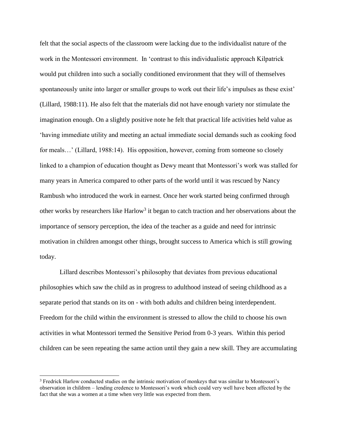felt that the social aspects of the classroom were lacking due to the individualist nature of the work in the Montessori environment. In 'contrast to this individualistic approach Kilpatrick would put children into such a socially conditioned environment that they will of themselves spontaneously unite into larger or smaller groups to work out their life's impulses as these exist' (Lillard, 1988:11). He also felt that the materials did not have enough variety nor stimulate the imagination enough. On a slightly positive note he felt that practical life activities held value as 'having immediate utility and meeting an actual immediate social demands such as cooking food for meals...' (Lillard, 1988:14). His opposition, however, coming from someone so closely linked to a champion of education thought as Dewy meant that Montessori's work was stalled for many years in America compared to other parts of the world until it was rescued by Nancy Rambush who introduced the work in earnest. Once her work started being confirmed through other works by researchers like Harlow<sup>3</sup> it began to catch traction and her observations about the importance of sensory perception, the idea of the teacher as a guide and need for intrinsic motivation in children amongst other things, brought success to America which is still growing today.

Lillard describes Montessori's philosophy that deviates from previous educational philosophies which saw the child as in progress to adulthood instead of seeing childhood as a separate period that stands on its on - with both adults and children being interdependent. Freedom for the child within the environment is stressed to allow the child to choose his own activities in what Montessori termed the Sensitive Period from 0-3 years. Within this period children can be seen repeating the same action until they gain a new skill. They are accumulating

l

<sup>&</sup>lt;sup>3</sup> Fredrick Harlow conducted studies on the intrinsic motivation of monkeys that was similar to Montessori's observation in children – lending credence to Montessori's work which could very well have been affected by the fact that she was a women at a time when very little was expected from them.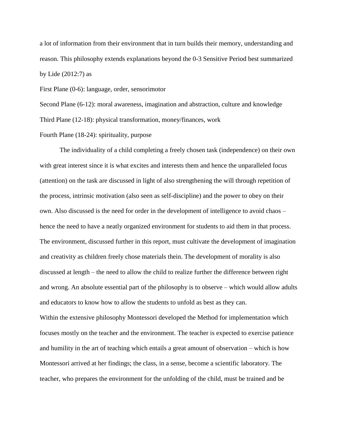a lot of information from their environment that in turn builds their memory, understanding and reason. This philosophy extends explanations beyond the 0-3 Sensitive Period best summarized by Lide (2012:7) as

First Plane (0-6): language, order, sensorimotor

Second Plane (6-12): moral awareness, imagination and abstraction, culture and knowledge Third Plane (12-18): physical transformation, money/finances, work

Fourth Plane (18-24): spirituality, purpose

The individuality of a child completing a freely chosen task (independence) on their own with great interest since it is what excites and interests them and hence the unparalleled focus (attention) on the task are discussed in light of also strengthening the will through repetition of the process, intrinsic motivation (also seen as self-discipline) and the power to obey on their own. Also discussed is the need for order in the development of intelligence to avoid chaos – hence the need to have a neatly organized environment for students to aid them in that process. The environment, discussed further in this report, must cultivate the development of imagination and creativity as children freely chose materials thein. The development of morality is also discussed at length – the need to allow the child to realize further the difference between right and wrong. An absolute essential part of the philosophy is to observe – which would allow adults and educators to know how to allow the students to unfold as best as they can.

Within the extensive philosophy Montessori developed the Method for implementation which focuses mostly on the teacher and the environment. The teacher is expected to exercise patience and humility in the art of teaching which entails a great amount of observation – which is how Montessori arrived at her findings; the class, in a sense, become a scientific laboratory. The teacher, who prepares the environment for the unfolding of the child, must be trained and be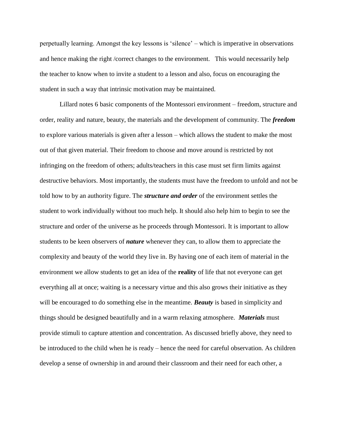perpetually learning. Amongst the key lessons is 'silence' – which is imperative in observations and hence making the right /correct changes to the environment. This would necessarily help the teacher to know when to invite a student to a lesson and also, focus on encouraging the student in such a way that intrinsic motivation may be maintained.

Lillard notes 6 basic components of the Montessori environment – freedom, structure and order, reality and nature, beauty, the materials and the development of community. The *freedom* to explore various materials is given after a lesson – which allows the student to make the most out of that given material. Their freedom to choose and move around is restricted by not infringing on the freedom of others; adults/teachers in this case must set firm limits against destructive behaviors. Most importantly, the students must have the freedom to unfold and not be told how to by an authority figure. The *structure and order* of the environment settles the student to work individually without too much help. It should also help him to begin to see the structure and order of the universe as he proceeds through Montessori. It is important to allow students to be keen observers of *nature* whenever they can, to allow them to appreciate the complexity and beauty of the world they live in. By having one of each item of material in the environment we allow students to get an idea of the **reality** of life that not everyone can get everything all at once; waiting is a necessary virtue and this also grows their initiative as they will be encouraged to do something else in the meantime. *Beauty* is based in simplicity and things should be designed beautifully and in a warm relaxing atmosphere. *Materials* must provide stimuli to capture attention and concentration. As discussed briefly above, they need to be introduced to the child when he is ready – hence the need for careful observation. As children develop a sense of ownership in and around their classroom and their need for each other, a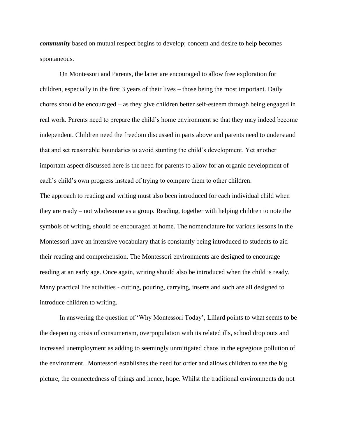*community* based on mutual respect begins to develop; concern and desire to help becomes spontaneous.

On Montessori and Parents, the latter are encouraged to allow free exploration for children, especially in the first 3 years of their lives – those being the most important. Daily chores should be encouraged – as they give children better self-esteem through being engaged in real work. Parents need to prepare the child's home environment so that they may indeed become independent. Children need the freedom discussed in parts above and parents need to understand that and set reasonable boundaries to avoid stunting the child's development. Yet another important aspect discussed here is the need for parents to allow for an organic development of each's child's own progress instead of trying to compare them to other children.

The approach to reading and writing must also been introduced for each individual child when they are ready – not wholesome as a group. Reading, together with helping children to note the symbols of writing, should be encouraged at home. The nomenclature for various lessons in the Montessori have an intensive vocabulary that is constantly being introduced to students to aid their reading and comprehension. The Montessori environments are designed to encourage reading at an early age. Once again, writing should also be introduced when the child is ready. Many practical life activities - cutting, pouring, carrying, inserts and such are all designed to introduce children to writing.

In answering the question of 'Why Montessori Today', Lillard points to what seems to be the deepening crisis of consumerism, overpopulation with its related ills, school drop outs and increased unemployment as adding to seemingly unmitigated chaos in the egregious pollution of the environment. Montessori establishes the need for order and allows children to see the big picture, the connectedness of things and hence, hope. Whilst the traditional environments do not